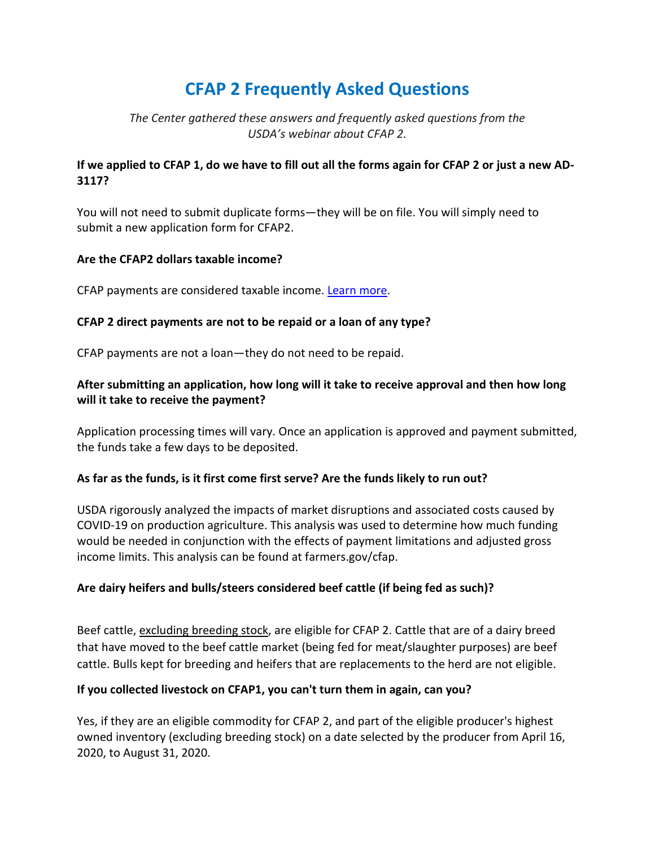# **CFAP 2 Frequently Asked Questions**

# *The Center gathered these answers and frequently asked questions from the USDA's webinar about CFAP 2.*

# **If we applied to CFAP 1, do we have to fill out all the forms again for CFAP 2 or just a new AD-3117?**

You will not need to submit duplicate forms—they will be on file. You will simply need to submit a new application form for CFAP2.

## **Are the CFAP2 dollars taxable income?**

CFAP payments are considered taxable income. [Learn more.](https://www.farmers.gov/connect/blog/ag-business/dont-forget-account-usda-payments-tax-season)

## **CFAP 2 direct payments are not to be repaid or a loan of any type?**

CFAP payments are not a loan—they do not need to be repaid.

# **After submitting an application, how long will it take to receive approval and then how long will it take to receive the payment?**

Application processing times will vary. Once an application is approved and payment submitted, the funds take a few days to be deposited.

# **As far as the funds, is it first come first serve? Are the funds likely to run out?**

USDA rigorously analyzed the impacts of market disruptions and associated costs caused by COVID-19 on production agriculture. This analysis was used to determine how much funding would be needed in conjunction with the effects of payment limitations and adjusted gross income limits. This analysis can be found at farmers.gov/cfap.

# **Are dairy heifers and bulls/steers considered beef cattle (if being fed as such)?**

Beef cattle, excluding breeding stock, are eligible for CFAP 2. Cattle that are of a dairy breed that have moved to the beef cattle market (being fed for meat/slaughter purposes) are beef cattle. Bulls kept for breeding and heifers that are replacements to the herd are not eligible.

#### **If you collected livestock on CFAP1, you can't turn them in again, can you?**

Yes, if they are an eligible commodity for CFAP 2, and part of the eligible producer's highest owned inventory (excluding breeding stock) on a date selected by the producer from April 16, 2020, to August 31, 2020.